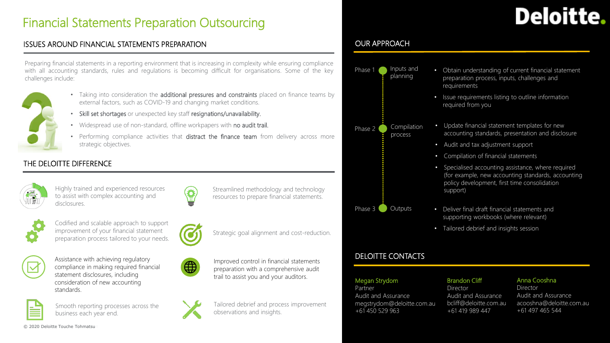# Financial Statements Preparation Outsourcing

#### ISSUES AROUND FINANCIAL STATEMENTS PREPARATION

Preparing financial statements in a reporting environment that is increasing in complexity while ensuring compliance with all accounting standards, rules and regulations is becoming difficult for organisations. Some of the key challenges include:



- Taking into consideration the **additional pressures and constraints** placed on finance teams by external factors, such as COVID-19 and changing market conditions.
- Skill set shortages or unexpected key staff resignations/unavailability.
- Widespread use of non-standard, offline workpapers with no audit trail.
- Performing compliance activities that distract the finance team from delivery across more strategic objectives.

## THE DELOITTE DIFFERENCE



Highly trained and experienced resources to assist with complex accounting and disclosures.



Streamlined methodology and technology resources to prepare financial statements.



Codified and scalable approach to support improvement of your financial statement preparation process tailored to your needs.



Assistance with achieving regulatory compliance in making required financial statement disclosures, including consideration of new accounting standards.



Smooth reporting processes across the business each year end.



Strategic goal alignment and cost-reduction.



Improved control in financial statements preparation with a comprehensive audit trail to assist you and your auditors.



Tailored debrief and process improvement observations and insights.

# OUR APPROACH



### DELOITTE CONTACTS

#### Megan Strydom

**Partner** Audit and Assurance megstrydom@deloitte.com.au +61 450 529 963

#### Brandon Cliff

Director Audit and Assurance bcliff@deloitte.com.au +61 419 989 447

#### Anna Cooshna

Director Audit and Assurance acooshna@deloitte.com.au +61 497 465 544

Deloitte.

© 2020 Deloitte Touche Tohmatsu